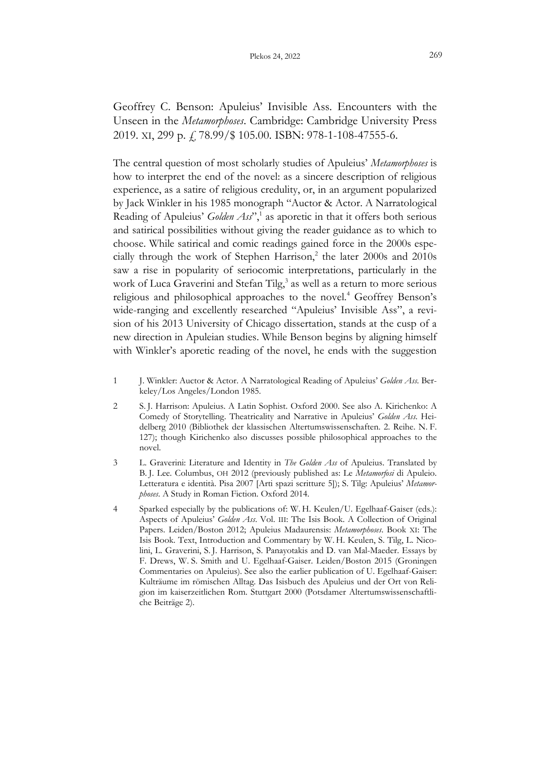Geoffrey C. Benson: Apuleius' Invisible Ass. Encounters with the Unseen in the *Metamorphoses*. Cambridge: Cambridge University Press 2019. XI, 299 p. f. 78.99/\$ 105.00. ISBN: 978-1-108-47555-6.

The central question of most scholarly studies of Apuleius' *Metamorphoses* is how to interpret the end of the novel: as a sincere description of religious experience, as a satire of religious credulity, or, in an argument popularized by Jack Winkler in his 1985 monograph "Auctor & Actor. A Narratological Reading of Apuleius' *Golden Ass*", 1 as aporetic in that it offers both serious and satirical possibilities without giving the reader guidance as to which to choose. While satirical and comic readings gained force in the 2000s especially through the work of Stephen Harrison,<sup>2</sup> the later 2000s and 2010s saw a rise in popularity of seriocomic interpretations, particularly in the work of Luca Graverini and Stefan Tilg,<sup>3</sup> as well as a return to more serious religious and philosophical approaches to the novel.<sup>4</sup> Geoffrey Benson's wide-ranging and excellently researched "Apuleius' Invisible Ass", a revision of his 2013 University of Chicago dissertation, stands at the cusp of a new direction in Apuleian studies. While Benson begins by aligning himself with Winkler's aporetic reading of the novel, he ends with the suggestion

- 1 J. Winkler: Auctor & Actor. A Narratological Reading of Apuleius' *Golden Ass*. Berkeley/Los Angeles/London 1985.
- 2 S. J. Harrison: Apuleius. A Latin Sophist. Oxford 2000. See also A. Kirichenko: A Comedy of Storytelling. Theatricality and Narrative in Apuleius' *Golden Ass*. Heidelberg 2010 (Bibliothek der klassischen Altertumswissenschaften. 2. Reihe. N. F. 127); though Kirichenko also discusses possible philosophical approaches to the novel.
- 3 L. Graverini: Literature and Identity in *The Golden Ass* of Apuleius. Translated by B. J. Lee. Columbus, OH 2012 (previously published as: Le *Metamorfosi* di Apuleio. Letteratura e identità. Pisa 2007 [Arti spazi scritture 5]); S. Tilg: Apuleius' *Metamorphoses*. A Study in Roman Fiction. Oxford 2014.
- 4 Sparked especially by the publications of: W. H. Keulen/U. Egelhaaf-Gaiser (eds.): Aspects of Apuleius' *Golden Ass*. Vol. III: The Isis Book. A Collection of Original Papers. Leiden/Boston 2012; Apuleius Madaurensis: *Metamorphoses*. Book XI: The Isis Book. Text, Introduction and Commentary by W. H. Keulen, S. Tilg, L. Nicolini, L. Graverini, S. J. Harrison, S. Panayotakis and D. van Mal-Maeder. Essays by F. Drews, W. S. Smith and U. Egelhaaf-Gaiser. Leiden/Boston 2015 (Groningen Commentaries on Apuleius). See also the earlier publication of U. Egelhaaf-Gaiser: Kulträume im römischen Alltag. Das Isisbuch des Apuleius und der Ort von Religion im kaiserzeitlichen Rom. Stuttgart 2000 (Potsdamer Altertumswissenschaftliche Beiträge 2).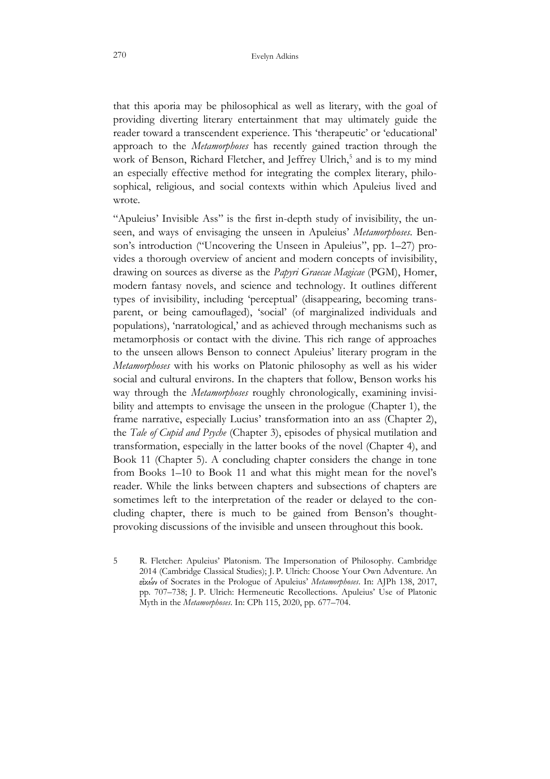that this aporia may be philosophical as well as literary, with the goal of providing diverting literary entertainment that may ultimately guide the reader toward a transcendent experience. This 'therapeutic' or 'educational' approach to the *Metamorphoses* has recently gained traction through the work of Benson, Richard Fletcher, and Jeffrey Ulrich,<sup>5</sup> and is to my mind an especially effective method for integrating the complex literary, philosophical, religious, and social contexts within which Apuleius lived and wrote.

"Apuleius' Invisible Ass" is the first in-depth study of invisibility, the unseen, and ways of envisaging the unseen in Apuleius' *Metamorphoses*. Benson's introduction ("Uncovering the Unseen in Apuleius", pp. 1–27) provides a thorough overview of ancient and modern concepts of invisibility, drawing on sources as diverse as the *Papyri Graecae Magicae* (PGM), Homer, modern fantasy novels, and science and technology. It outlines different types of invisibility, including 'perceptual' (disappearing, becoming transparent, or being camouflaged), 'social' (of marginalized individuals and populations), 'narratological,' and as achieved through mechanisms such as metamorphosis or contact with the divine. This rich range of approaches to the unseen allows Benson to connect Apuleius' literary program in the *Metamorphoses* with his works on Platonic philosophy as well as his wider social and cultural environs. In the chapters that follow, Benson works his way through the *Metamorphoses* roughly chronologically, examining invisibility and attempts to envisage the unseen in the prologue (Chapter 1), the frame narrative, especially Lucius' transformation into an ass (Chapter 2), the *Tale of Cupid and Psyche* (Chapter 3), episodes of physical mutilation and transformation, especially in the latter books of the novel (Chapter 4), and Book 11 (Chapter 5). A concluding chapter considers the change in tone from Books 1–10 to Book 11 and what this might mean for the novel's reader. While the links between chapters and subsections of chapters are sometimes left to the interpretation of the reader or delayed to the concluding chapter, there is much to be gained from Benson's thoughtprovoking discussions of the invisible and unseen throughout this book.

5 R. Fletcher: Apuleius' Platonism. The Impersonation of Philosophy. Cambridge 2014 (Cambridge Classical Studies); J. P. Ulrich: Choose Your Own Adventure. An of Socrates in the Prologue of Apuleius' *Metamorphoses*. In: AJPh 138, 2017, pp. 707–738; J. P. Ulrich: Hermeneutic Recollections. Apuleius' Use of Platonic Myth in the *Metamorphoses*. In: CPh 115, 2020, pp. 677–704.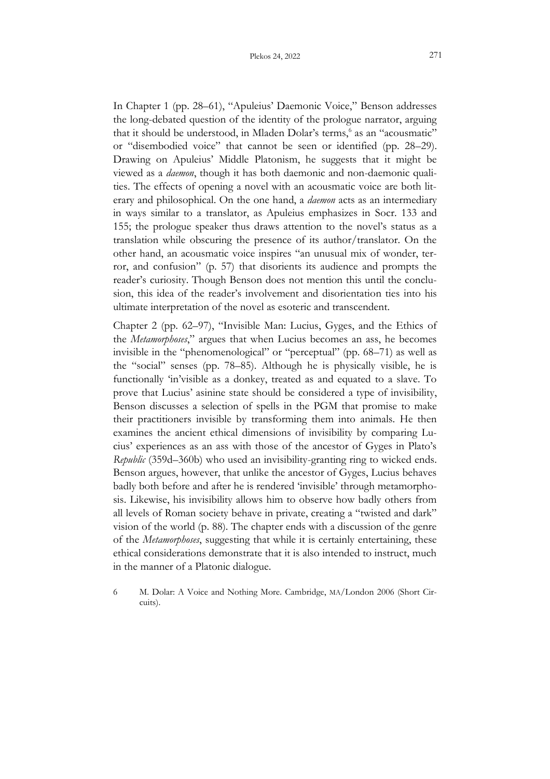In Chapter 1 (pp. 28–61), "Apuleius' Daemonic Voice," Benson addresses the long-debated question of the identity of the prologue narrator, arguing that it should be understood, in Mladen Dolar's terms,<sup>6</sup> as an "acousmatic" or "disembodied voice" that cannot be seen or identified (pp. 28–29). Drawing on Apuleius' Middle Platonism, he suggests that it might be viewed as a *daemon*, though it has both daemonic and non-daemonic qualities. The effects of opening a novel with an acousmatic voice are both literary and philosophical. On the one hand, a *daemon* acts as an intermediary in ways similar to a translator, as Apuleius emphasizes in Socr. 133 and 155; the prologue speaker thus draws attention to the novel's status as a translation while obscuring the presence of its author/translator. On the other hand, an acousmatic voice inspires "an unusual mix of wonder, terror, and confusion" (p. 57) that disorients its audience and prompts the reader's curiosity. Though Benson does not mention this until the conclusion, this idea of the reader's involvement and disorientation ties into his ultimate interpretation of the novel as esoteric and transcendent.

Chapter 2 (pp. 62–97), "Invisible Man: Lucius, Gyges, and the Ethics of the *Metamorphoses*," argues that when Lucius becomes an ass, he becomes invisible in the "phenomenological" or "perceptual" (pp. 68–71) as well as the "social" senses (pp. 78–85). Although he is physically visible, he is functionally 'in'visible as a donkey, treated as and equated to a slave. To prove that Lucius' asinine state should be considered a type of invisibility, Benson discusses a selection of spells in the PGM that promise to make their practitioners invisible by transforming them into animals. He then examines the ancient ethical dimensions of invisibility by comparing Lucius' experiences as an ass with those of the ancestor of Gyges in Plato's *Republic* (359d–360b) who used an invisibility-granting ring to wicked ends. Benson argues, however, that unlike the ancestor of Gyges, Lucius behaves badly both before and after he is rendered 'invisible' through metamorphosis. Likewise, his invisibility allows him to observe how badly others from all levels of Roman society behave in private, creating a "twisted and dark" vision of the world (p. 88). The chapter ends with a discussion of the genre of the *Metamorphoses*, suggesting that while it is certainly entertaining, these ethical considerations demonstrate that it is also intended to instruct, much in the manner of a Platonic dialogue.

<sup>6</sup> M. Dolar: A Voice and Nothing More. Cambridge, MA/London 2006 (Short Circuits).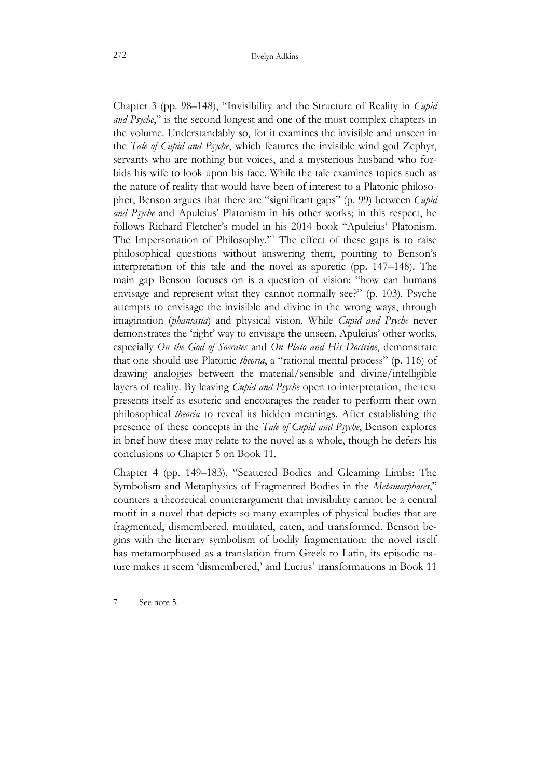Chapter 3 (pp. 98–148), "Invisibility and the Structure of Reality in *Cupid and Psyche*," is the second longest and one of the most complex chapters in the volume. Understandably so, for it examines the invisible and unseen in the *Tale of Cupid and Psyche*, which features the invisible wind god Zephyr, servants who are nothing but voices, and a mysterious husband who forbids his wife to look upon his face. While the tale examines topics such as the nature of reality that would have been of interest to a Platonic philosopher, Benson argues that there are "significant gaps" (p. 99) between *Cupid and Psyche* and Apuleius' Platonism in his other works; in this respect, he follows Richard Fletcher's model in his 2014 book "Apuleius' Platonism. The Impersonation of Philosophy." <sup>7</sup> The effect of these gaps is to raise philosophical questions without answering them, pointing to Benson's interpretation of this tale and the novel as aporetic (pp. 147–148). The main gap Benson focuses on is a question of vision: "how can humans envisage and represent what they cannot normally see?" (p. 103). Psyche attempts to envisage the invisible and divine in the wrong ways, through imagination (*phantasia*) and physical vision. While *Cupid and Psyche* never demonstrates the 'right' way to envisage the unseen, Apuleius' other works, especially *On the God of Socrates* and *On Plato and His Doctrine*, demonstrate that one should use Platonic *theoria*, a "rational mental process" (p. 116) of drawing analogies between the material/sensible and divine/intelligible layers of reality. By leaving *Cupid and Psyche* open to interpretation, the text presents itself as esoteric and encourages the reader to perform their own philosophical *theoria* to reveal its hidden meanings. After establishing the presence of these concepts in the *Tale of Cupid and Psyche*, Benson explores in brief how these may relate to the novel as a whole, though he defers his conclusions to Chapter 5 on Book 11.

Chapter 4 (pp. 149–183), "Scattered Bodies and Gleaming Limbs: The Symbolism and Metaphysics of Fragmented Bodies in the *Metamorphoses*," counters a theoretical counterargument that invisibility cannot be a central motif in a novel that depicts so many examples of physical bodies that are fragmented, dismembered, mutilated, eaten, and transformed. Benson begins with the literary symbolism of bodily fragmentation: the novel itself has metamorphosed as a translation from Greek to Latin, its episodic nature makes it seem 'dismembered,' and Lucius' transformations in Book 11

7 See note 5.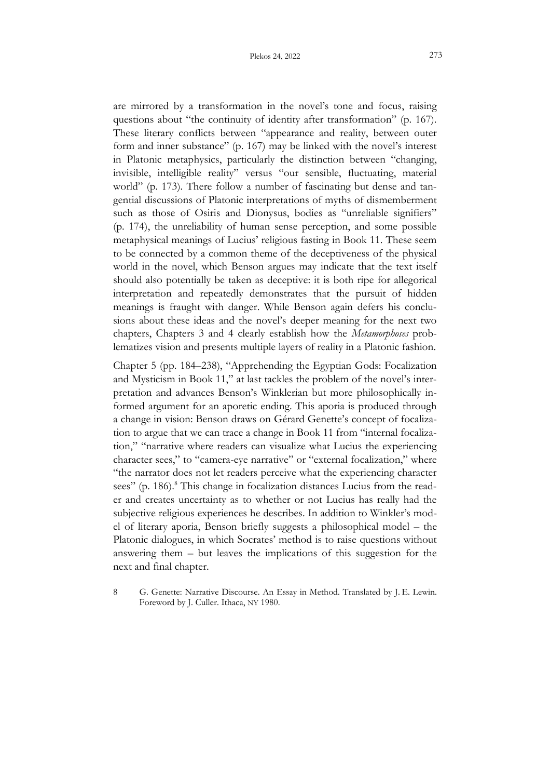are mirrored by a transformation in the novel's tone and focus, raising questions about "the continuity of identity after transformation" (p. 167). These literary conflicts between "appearance and reality, between outer form and inner substance" (p. 167) may be linked with the novel's interest in Platonic metaphysics, particularly the distinction between "changing, invisible, intelligible reality" versus "our sensible, fluctuating, material world" (p. 173). There follow a number of fascinating but dense and tangential discussions of Platonic interpretations of myths of dismemberment such as those of Osiris and Dionysus, bodies as "unreliable signifiers" (p. 174), the unreliability of human sense perception, and some possible metaphysical meanings of Lucius' religious fasting in Book 11. These seem to be connected by a common theme of the deceptiveness of the physical world in the novel, which Benson argues may indicate that the text itself should also potentially be taken as deceptive: it is both ripe for allegorical interpretation and repeatedly demonstrates that the pursuit of hidden meanings is fraught with danger. While Benson again defers his conclusions about these ideas and the novel's deeper meaning for the next two chapters, Chapters 3 and 4 clearly establish how the *Metamorphoses* problematizes vision and presents multiple layers of reality in a Platonic fashion.

Chapter 5 (pp. 184–238), "Apprehending the Egyptian Gods: Focalization and Mysticism in Book 11," at last tackles the problem of the novel's interpretation and advances Benson's Winklerian but more philosophically informed argument for an aporetic ending. This aporia is produced through a change in vision: Benson draws on Gérard Genette's concept of focalization to argue that we can trace a change in Book 11 from "internal focalization," "narrative where readers can visualize what Lucius the experiencing character sees," to "camera-eye narrative" or "external focalization," where "the narrator does not let readers perceive what the experiencing character sees" (p. 186).<sup>8</sup> This change in focalization distances Lucius from the reader and creates uncertainty as to whether or not Lucius has really had the subjective religious experiences he describes. In addition to Winkler's model of literary aporia, Benson briefly suggests a philosophical model – the Platonic dialogues, in which Socrates' method is to raise questions without answering them – but leaves the implications of this suggestion for the next and final chapter.

8 G. Genette: Narrative Discourse. An Essay in Method. Translated by J. E. Lewin. Foreword by J. Culler. Ithaca, NY 1980.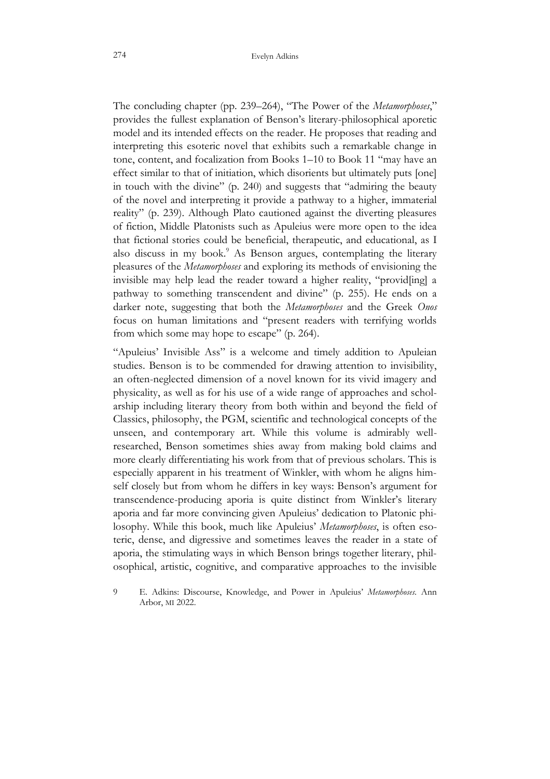The concluding chapter (pp. 239–264), "The Power of the *Metamorphoses*," provides the fullest explanation of Benson's literary-philosophical aporetic model and its intended effects on the reader. He proposes that reading and interpreting this esoteric novel that exhibits such a remarkable change in tone, content, and focalization from Books 1–10 to Book 11 "may have an effect similar to that of initiation, which disorients but ultimately puts [one] in touch with the divine" (p. 240) and suggests that "admiring the beauty of the novel and interpreting it provide a pathway to a higher, immaterial reality" (p. 239). Although Plato cautioned against the diverting pleasures of fiction, Middle Platonists such as Apuleius were more open to the idea that fictional stories could be beneficial, therapeutic, and educational, as I also discuss in my book.<sup>9</sup> As Benson argues, contemplating the literary pleasures of the *Metamorphoses* and exploring its methods of envisioning the invisible may help lead the reader toward a higher reality, "provid[ing] a pathway to something transcendent and divine" (p. 255). He ends on a darker note, suggesting that both the *Metamorphoses* and the Greek *Onos* focus on human limitations and "present readers with terrifying worlds from which some may hope to escape" (p. 264).

"Apuleius' Invisible Ass" is a welcome and timely addition to Apuleian studies. Benson is to be commended for drawing attention to invisibility, an often-neglected dimension of a novel known for its vivid imagery and physicality, as well as for his use of a wide range of approaches and scholarship including literary theory from both within and beyond the field of Classics, philosophy, the PGM, scientific and technological concepts of the unseen, and contemporary art. While this volume is admirably wellresearched, Benson sometimes shies away from making bold claims and more clearly differentiating his work from that of previous scholars. This is especially apparent in his treatment of Winkler, with whom he aligns himself closely but from whom he differs in key ways: Benson's argument for transcendence-producing aporia is quite distinct from Winkler's literary aporia and far more convincing given Apuleius' dedication to Platonic philosophy. While this book, much like Apuleius' *Metamorphoses*, is often esoteric, dense, and digressive and sometimes leaves the reader in a state of aporia, the stimulating ways in which Benson brings together literary, philosophical, artistic, cognitive, and comparative approaches to the invisible

<sup>9</sup> E. Adkins: Discourse, Knowledge, and Power in Apuleius' *Metamorphoses*. Ann Arbor, MI 2022.